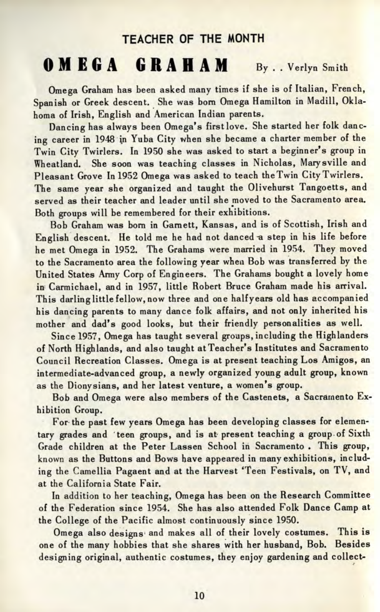## TEACHER OF THE MONTH

## **OMEG A GRAHA M By. . Verlyn Smith**

Omega Graham has been asked many times if she is of Italian, French, Spanish or Greek descent. She was born Omega Hamilton in Madill, Oklahoma of Irish, English and American Indian parents.

Dancing has always been Omega's first love. She started her folk dancing career in 1948 in Yuba City when she became a charter member of the Twin City Twirlers. In 1950 she was asked to start a beginner's group in Wheatland. She soon was teaching classes in Nicholas, Marysville and Pleasant Grove In 1952 Omega was asked to teach the Twin City Twirlers. The same year she organized and taught the Olivehurst Tangoetts, and served as their teacher and leader until she moved to the Sacramento area. Both groups will be remembered for their exhibitions.

Bob Graham was born in Garnett, Kansas, and is of Scottish, Irish and English descent. He told me he had not danced a step in his life before he met Omega in 1952. The Grahams were married in 1954. They moved to the Sacramento area the following year when Bob was transferred by the United States Army Corp of Engineers. The Grahams bought a lovely home in Carmichael, and in 1957, little Robert Bruce Graham made his arrival. This darling little fellow, now three and one half years old has accompanied his dancing parents to many dance folk affairs, and not only inherited his mother and dad's good looks, but their friendly personalities as well.

Since 1957, Omega has taught several groups, including the Highlanders of North Highlands, and also taught at Teacher's Institutes and Sacramento Council Recreation Classes. Omega is at present teaching Los Amigos, an intermediate-advanced group, a newly organized young adult group, known as the Dionysians, and her latest venture, a women's group.

Bob and Omega were also members of the Castenets, a Sacramento Exhibition Group.

For the past few years Omega has been developing classes for elementary grades and 'teen groups, and is at present teaching a group of Sixth Grade children at the Peter Lassen School in Sacramento . This group, known as the Buttons and Bows have appeared in many exhibitions, including the Camellia Pagaent and at the Harvest 'Teen Festivals, on TV, and at the California State Fair.

In addition to her teaching, Omega has been on the Research Committee of the Federation since 1954. She has also attended Folk Dance Camp at the College of the Pacific almost continuously since 1950.

Omega also designs and makes all of their lovely costumes. This is one of the many hobbies that she shares with her husband, Bob. Besides designing original, authentic costumes, they enjoy gardening and collect